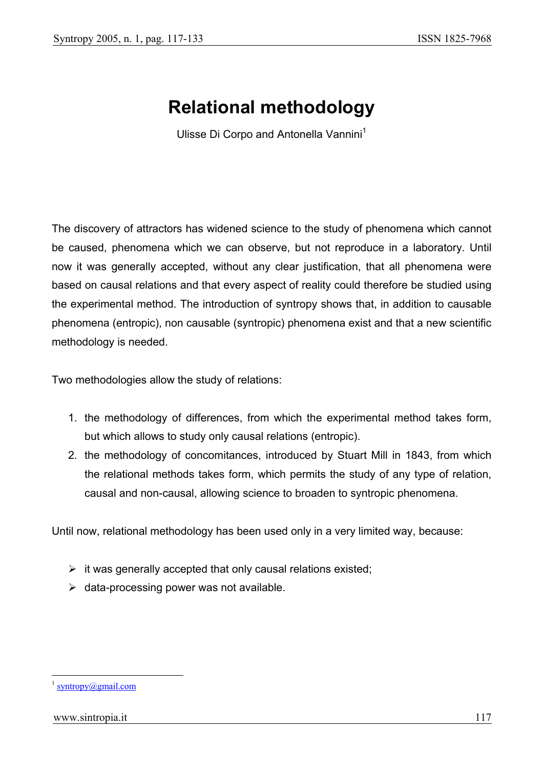# **Relational methodology**

Ulisse Di Corpo and Antonella Vannini<sup>1</sup>

The discovery of attractors has widened science to the study of phenomena which cannot be caused, phenomena which we can observe, but not reproduce in a laboratory. Until now it was generally accepted, without any clear justification, that all phenomena were based on causal relations and that every aspect of reality could therefore be studied using the experimental method. The introduction of syntropy shows that, in addition to causable phenomena (entropic), non causable (syntropic) phenomena exist and that a new scientific methodology is needed.

Two methodologies allow the study of relations:

- 1. the methodology of differences, from which the experimental method takes form, but which allows to study only causal relations (entropic).
- 2. the methodology of concomitances, introduced by Stuart Mill in 1843, from which the relational methods takes form, which permits the study of any type of relation, causal and non-causal, allowing science to broaden to syntropic phenomena.

Until now, relational methodology has been used only in a very limited way, because:

- $\triangleright$  it was generally accepted that only causal relations existed;
- $\triangleright$  data-processing power was not available.

 $\overline{a}$ 

syntropy@gmail.com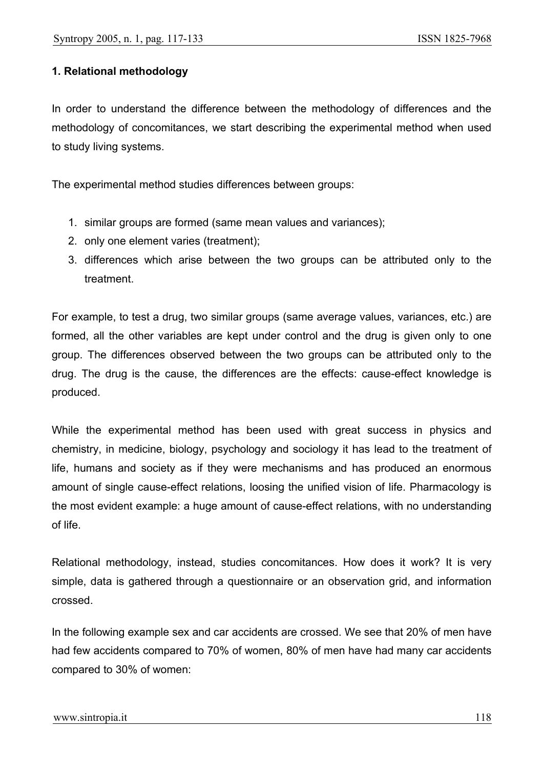## **1. Relational methodology**

In order to understand the difference between the methodology of differences and the methodology of concomitances, we start describing the experimental method when used to study living systems.

The experimental method studies differences between groups:

- 1. similar groups are formed (same mean values and variances);
- 2. only one element varies (treatment);
- 3. differences which arise between the two groups can be attributed only to the treatment.

For example, to test a drug, two similar groups (same average values, variances, etc.) are formed, all the other variables are kept under control and the drug is given only to one group. The differences observed between the two groups can be attributed only to the drug. The drug is the cause, the differences are the effects: cause-effect knowledge is produced.

While the experimental method has been used with great success in physics and chemistry, in medicine, biology, psychology and sociology it has lead to the treatment of life, humans and society as if they were mechanisms and has produced an enormous amount of single cause-effect relations, loosing the unified vision of life. Pharmacology is the most evident example: a huge amount of cause-effect relations, with no understanding of life.

Relational methodology, instead, studies concomitances. How does it work? It is very simple, data is gathered through a questionnaire or an observation grid, and information crossed.

In the following example sex and car accidents are crossed. We see that 20% of men have had few accidents compared to 70% of women, 80% of men have had many car accidents compared to 30% of women: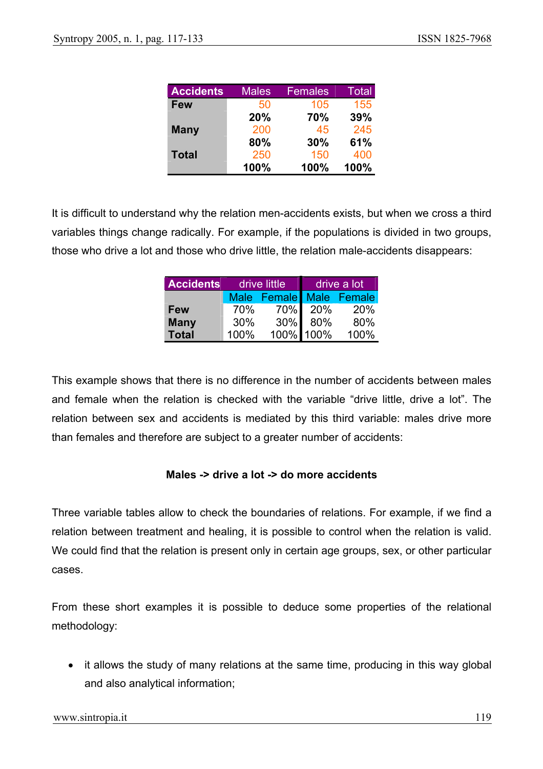| <b>Accidents</b> | <b>Males</b> | <b>Females</b> | Total |
|------------------|--------------|----------------|-------|
| Few              | 50           | 105            | 155   |
|                  | 20%          | 70%            | 39%   |
| <b>Many</b>      | 200          | 45             | 245   |
|                  | 80%          | 30%            | 61%   |
| <b>Total</b>     | 250          | 150            | 400   |
|                  | 100%         | 100%           | 100%  |

It is difficult to understand why the relation men-accidents exists, but when we cross a third variables things change radically. For example, if the populations is divided in two groups, those who drive a lot and those who drive little, the relation male-accidents disappears:

| <b>Accidents</b> |      | drive little            |           | drive a lot |
|------------------|------|-------------------------|-----------|-------------|
|                  |      | Male Female Male Female |           |             |
| <b>Few</b>       | 70%  |                         | 70% 20%   | 20%         |
| <b>Many</b>      | 30%  |                         | 30% 80%   | 80%         |
| <b>Total</b>     | 100% |                         | 100% 100% | 100%        |

This example shows that there is no difference in the number of accidents between males and female when the relation is checked with the variable "drive little, drive a lot". The relation between sex and accidents is mediated by this third variable: males drive more than females and therefore are subject to a greater number of accidents:

## **Males -> drive a lot -> do more accidents**

Three variable tables allow to check the boundaries of relations. For example, if we find a relation between treatment and healing, it is possible to control when the relation is valid. We could find that the relation is present only in certain age groups, sex, or other particular cases.

From these short examples it is possible to deduce some properties of the relational methodology:

• it allows the study of many relations at the same time, producing in this way global and also analytical information;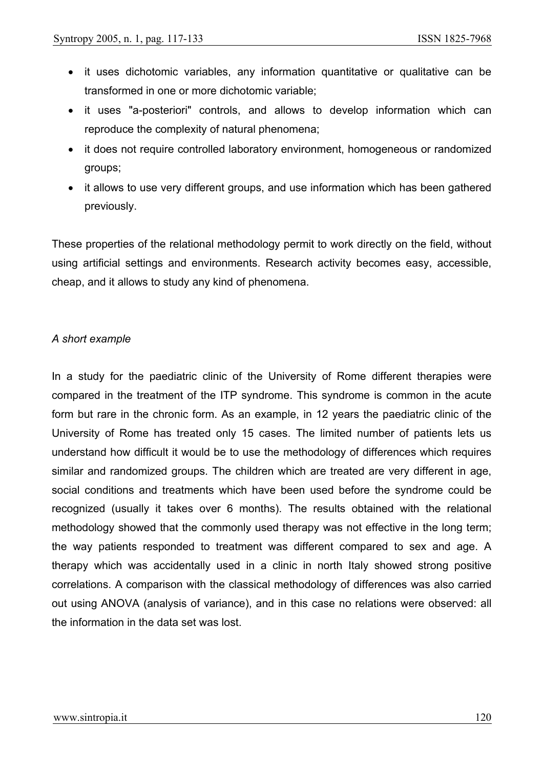- it uses dichotomic variables, any information quantitative or qualitative can be transformed in one or more dichotomic variable;
- it uses "a-posteriori" controls, and allows to develop information which can reproduce the complexity of natural phenomena;
- it does not require controlled laboratory environment, homogeneous or randomized groups;
- it allows to use very different groups, and use information which has been gathered previously.

These properties of the relational methodology permit to work directly on the field, without using artificial settings and environments. Research activity becomes easy, accessible, cheap, and it allows to study any kind of phenomena.

## *A short example*

In a study for the paediatric clinic of the University of Rome different therapies were compared in the treatment of the ITP syndrome. This syndrome is common in the acute form but rare in the chronic form. As an example, in 12 years the paediatric clinic of the University of Rome has treated only 15 cases. The limited number of patients lets us understand how difficult it would be to use the methodology of differences which requires similar and randomized groups. The children which are treated are very different in age, social conditions and treatments which have been used before the syndrome could be recognized (usually it takes over 6 months). The results obtained with the relational methodology showed that the commonly used therapy was not effective in the long term; the way patients responded to treatment was different compared to sex and age. A therapy which was accidentally used in a clinic in north Italy showed strong positive correlations. A comparison with the classical methodology of differences was also carried out using ANOVA (analysis of variance), and in this case no relations were observed: all the information in the data set was lost.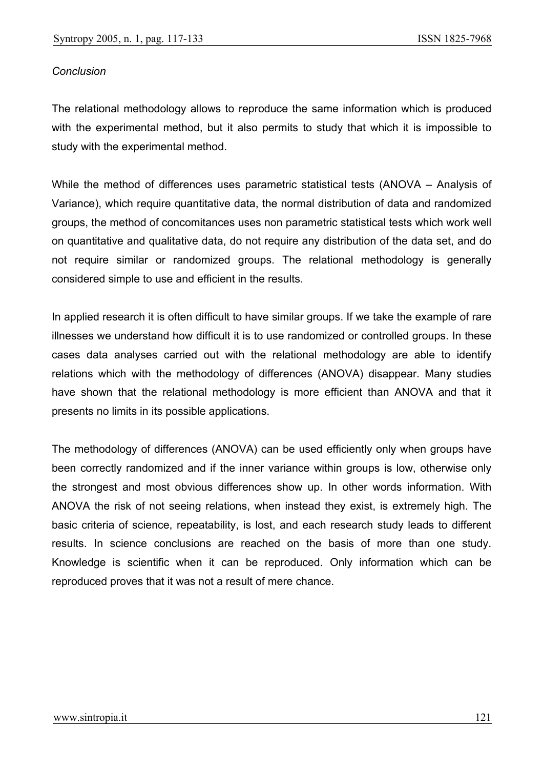## *Conclusion*

The relational methodology allows to reproduce the same information which is produced with the experimental method, but it also permits to study that which it is impossible to study with the experimental method.

While the method of differences uses parametric statistical tests (ANOVA – Analysis of Variance), which require quantitative data, the normal distribution of data and randomized groups, the method of concomitances uses non parametric statistical tests which work well on quantitative and qualitative data, do not require any distribution of the data set, and do not require similar or randomized groups. The relational methodology is generally considered simple to use and efficient in the results.

In applied research it is often difficult to have similar groups. If we take the example of rare illnesses we understand how difficult it is to use randomized or controlled groups. In these cases data analyses carried out with the relational methodology are able to identify relations which with the methodology of differences (ANOVA) disappear. Many studies have shown that the relational methodology is more efficient than ANOVA and that it presents no limits in its possible applications.

The methodology of differences (ANOVA) can be used efficiently only when groups have been correctly randomized and if the inner variance within groups is low, otherwise only the strongest and most obvious differences show up. In other words information. With ANOVA the risk of not seeing relations, when instead they exist, is extremely high. The basic criteria of science, repeatability, is lost, and each research study leads to different results. In science conclusions are reached on the basis of more than one study. Knowledge is scientific when it can be reproduced. Only information which can be reproduced proves that it was not a result of mere chance.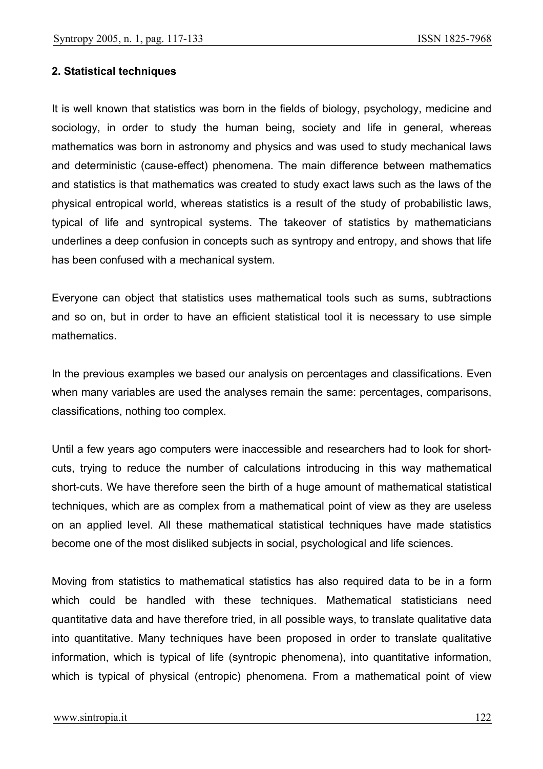## **2. Statistical techniques**

It is well known that statistics was born in the fields of biology, psychology, medicine and sociology, in order to study the human being, society and life in general, whereas mathematics was born in astronomy and physics and was used to study mechanical laws and deterministic (cause-effect) phenomena. The main difference between mathematics and statistics is that mathematics was created to study exact laws such as the laws of the physical entropical world, whereas statistics is a result of the study of probabilistic laws, typical of life and syntropical systems. The takeover of statistics by mathematicians underlines a deep confusion in concepts such as syntropy and entropy, and shows that life has been confused with a mechanical system.

Everyone can object that statistics uses mathematical tools such as sums, subtractions and so on, but in order to have an efficient statistical tool it is necessary to use simple mathematics.

In the previous examples we based our analysis on percentages and classifications. Even when many variables are used the analyses remain the same: percentages, comparisons, classifications, nothing too complex.

Until a few years ago computers were inaccessible and researchers had to look for shortcuts, trying to reduce the number of calculations introducing in this way mathematical short-cuts. We have therefore seen the birth of a huge amount of mathematical statistical techniques, which are as complex from a mathematical point of view as they are useless on an applied level. All these mathematical statistical techniques have made statistics become one of the most disliked subjects in social, psychological and life sciences.

Moving from statistics to mathematical statistics has also required data to be in a form which could be handled with these techniques. Mathematical statisticians need quantitative data and have therefore tried, in all possible ways, to translate qualitative data into quantitative. Many techniques have been proposed in order to translate qualitative information, which is typical of life (syntropic phenomena), into quantitative information, which is typical of physical (entropic) phenomena. From a mathematical point of view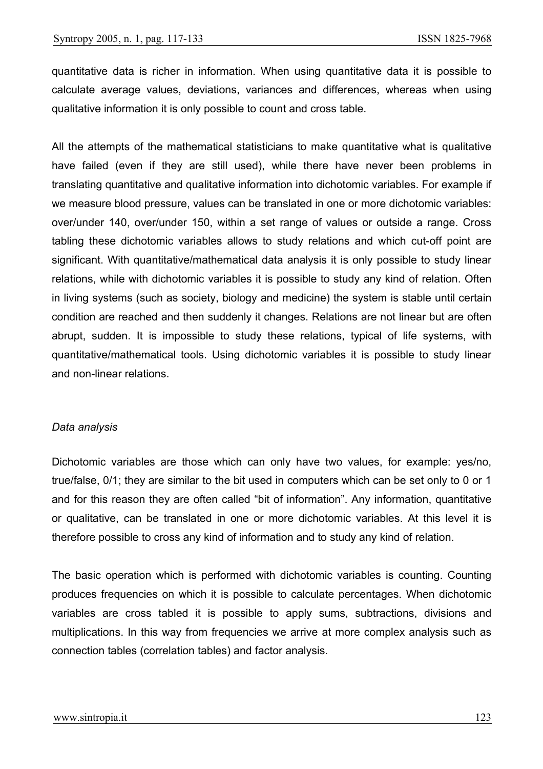quantitative data is richer in information. When using quantitative data it is possible to calculate average values, deviations, variances and differences, whereas when using qualitative information it is only possible to count and cross table.

All the attempts of the mathematical statisticians to make quantitative what is qualitative have failed (even if they are still used), while there have never been problems in translating quantitative and qualitative information into dichotomic variables. For example if we measure blood pressure, values can be translated in one or more dichotomic variables: over/under 140, over/under 150, within a set range of values or outside a range. Cross tabling these dichotomic variables allows to study relations and which cut-off point are significant. With quantitative/mathematical data analysis it is only possible to study linear relations, while with dichotomic variables it is possible to study any kind of relation. Often in living systems (such as society, biology and medicine) the system is stable until certain condition are reached and then suddenly it changes. Relations are not linear but are often abrupt, sudden. It is impossible to study these relations, typical of life systems, with quantitative/mathematical tools. Using dichotomic variables it is possible to study linear and non-linear relations.

### *Data analysis*

Dichotomic variables are those which can only have two values, for example: yes/no, true/false, 0/1; they are similar to the bit used in computers which can be set only to 0 or 1 and for this reason they are often called "bit of information". Any information, quantitative or qualitative, can be translated in one or more dichotomic variables. At this level it is therefore possible to cross any kind of information and to study any kind of relation.

The basic operation which is performed with dichotomic variables is counting. Counting produces frequencies on which it is possible to calculate percentages. When dichotomic variables are cross tabled it is possible to apply sums, subtractions, divisions and multiplications. In this way from frequencies we arrive at more complex analysis such as connection tables (correlation tables) and factor analysis.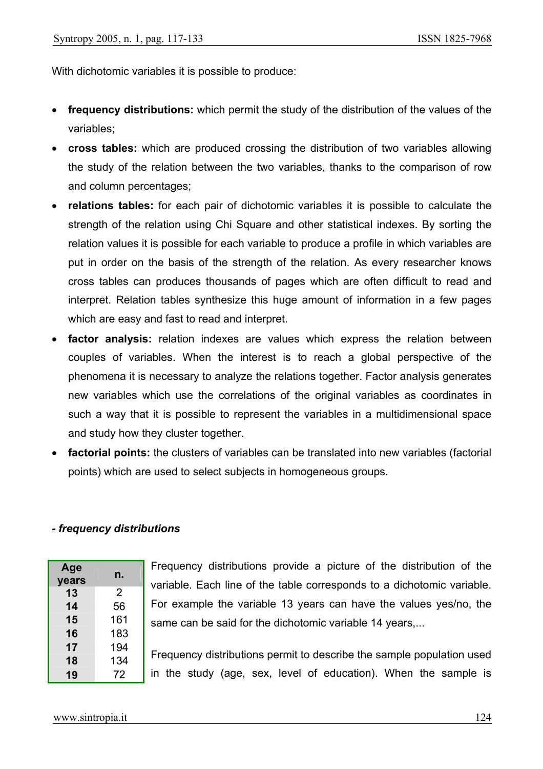With dichotomic variables it is possible to produce:

- **frequency distributions:** which permit the study of the distribution of the values of the variables;
- **cross tables:** which are produced crossing the distribution of two variables allowing the study of the relation between the two variables, thanks to the comparison of row and column percentages;
- **relations tables:** for each pair of dichotomic variables it is possible to calculate the strength of the relation using Chi Square and other statistical indexes. By sorting the relation values it is possible for each variable to produce a profile in which variables are put in order on the basis of the strength of the relation. As every researcher knows cross tables can produces thousands of pages which are often difficult to read and interpret. Relation tables synthesize this huge amount of information in a few pages which are easy and fast to read and interpret.
- factor analysis: relation indexes are values which express the relation between couples of variables. When the interest is to reach a global perspective of the phenomena it is necessary to analyze the relations together. Factor analysis generates new variables which use the correlations of the original variables as coordinates in such a way that it is possible to represent the variables in a multidimensional space and study how they cluster together.
- **factorial points:** the clusters of variables can be translated into new variables (factorial points) which are used to select subjects in homogeneous groups.

### *- frequency distributions*

| Age<br>years | n.  |
|--------------|-----|
| 13           | 2   |
| 14           | 56  |
| 15           | 161 |
| 16           | 183 |
| 17           | 194 |
| 18           | 134 |
| 19           | 72  |

Frequency distributions provide a picture of the distribution of the variable. Each line of the table corresponds to a dichotomic variable. For example the variable 13 years can have the values yes/no, the same can be said for the dichotomic variable 14 years,...

Frequency distributions permit to describe the sample population used in the study (age, sex, level of education). When the sample is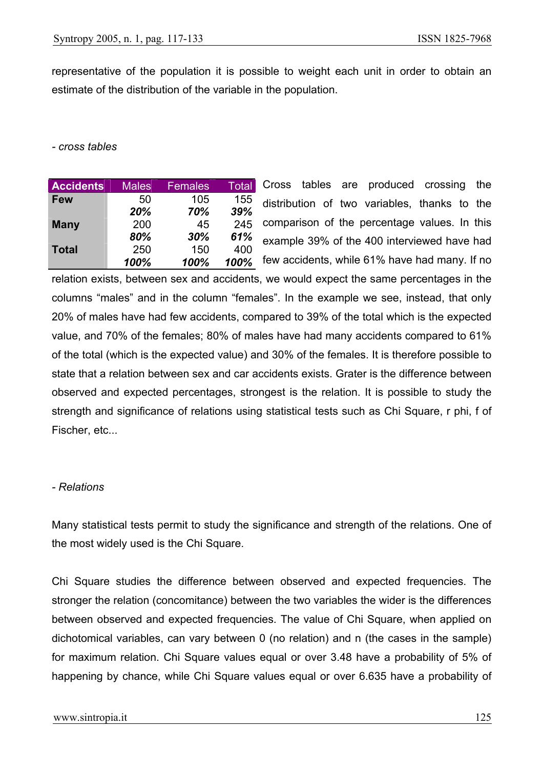representative of the population it is possible to weight each unit in order to obtain an estimate of the distribution of the variable in the population.

### *- cross tables*

| <b>Accidents</b> | <b>Males</b> | <b>Females</b> | <b>Total</b> |
|------------------|--------------|----------------|--------------|
| <b>Few</b>       | 50           | 105            | 155          |
|                  | 20%          | 70%            | 39%          |
| <b>Many</b>      | 200          | 45             | 245          |
|                  | 80%          | 30%            | 61%          |
| <b>Total</b>     | 250          | 150            | 400          |
|                  | 100%         | 100%           | 100%         |

Cross tables are produced crossing the distribution of two variables, thanks to the comparison of the percentage values. In this example 39% of the 400 interviewed have had few accidents, while 61% have had many. If no

relation exists, between sex and accidents, we would expect the same percentages in the columns "males" and in the column "females". In the example we see, instead, that only 20% of males have had few accidents, compared to 39% of the total which is the expected value, and 70% of the females; 80% of males have had many accidents compared to 61% of the total (which is the expected value) and 30% of the females. It is therefore possible to state that a relation between sex and car accidents exists. Grater is the difference between observed and expected percentages, strongest is the relation. It is possible to study the strength and significance of relations using statistical tests such as Chi Square, r phi, f of Fischer, etc...

### *- Relations*

Many statistical tests permit to study the significance and strength of the relations. One of the most widely used is the Chi Square.

Chi Square studies the difference between observed and expected frequencies. The stronger the relation (concomitance) between the two variables the wider is the differences between observed and expected frequencies. The value of Chi Square, when applied on dichotomical variables, can vary between 0 (no relation) and n (the cases in the sample) for maximum relation. Chi Square values equal or over 3.48 have a probability of 5% of happening by chance, while Chi Square values equal or over 6.635 have a probability of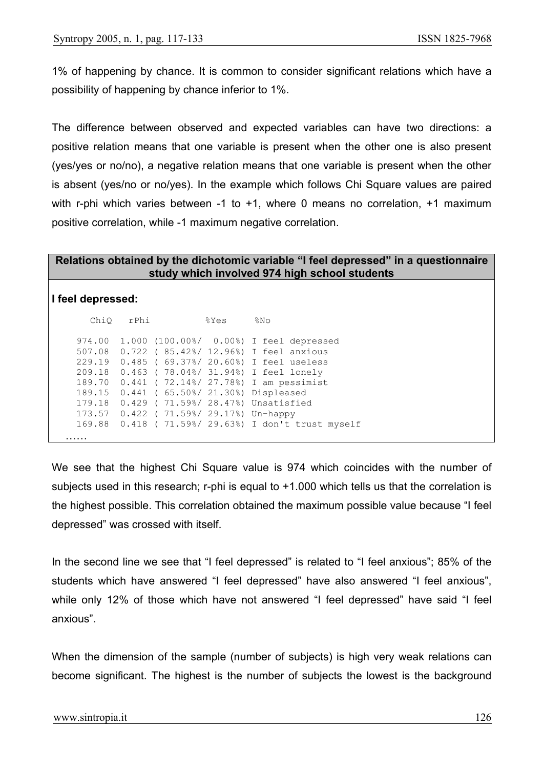1% of happening by chance. It is common to consider significant relations which have a possibility of happening by chance inferior to 1%.

The difference between observed and expected variables can have two directions: a positive relation means that one variable is present when the other one is also present (yes/yes or no/no), a negative relation means that one variable is present when the other is absent (yes/no or no/yes). In the example which follows Chi Square values are paired with r-phi which varies between -1 to +1, where 0 means no correlation, +1 maximum positive correlation, while -1 maximum negative correlation.

## **Relations obtained by the dichotomic variable "I feel depressed" in a questionnaire study which involved 974 high school students**

#### **I feel depressed:**

|                                                          | ChiO rPhi | %Yes                                                                                                                                                                                                                                                                                                                                          | %No                                                 |
|----------------------------------------------------------|-----------|-----------------------------------------------------------------------------------------------------------------------------------------------------------------------------------------------------------------------------------------------------------------------------------------------------------------------------------------------|-----------------------------------------------------|
| 974.00<br>507.08<br>229.19<br>209.18<br>189.70<br>179.18 |           | 1.000 (100.00%/ 0.00%) I feel depressed<br>0.722 ( 85.42%/ 12.96%) I feel anxious<br>0.485 ( 69.37%/ 20.60%) I feel useless<br>0.463 ( 78.04%/ 31.94%) I feel lonely<br>0.441 ( 72.14%/ 27.78%) I am pessimist<br>189.15 0.441 ( 65.50%/ 21.30%) Displeased<br>0.429 ( 71.59%/ 28.47%) Unsatisfied<br>173.57 0.422 ( 71.59%/ 29.17%) Un-happy |                                                     |
|                                                          |           |                                                                                                                                                                                                                                                                                                                                               | 169.88 0.418 ( 71.59%/ 29.63%) I don't trust myself |

We see that the highest Chi Square value is 974 which coincides with the number of subjects used in this research; r-phi is equal to +1.000 which tells us that the correlation is the highest possible. This correlation obtained the maximum possible value because "I feel depressed" was crossed with itself.

In the second line we see that "I feel depressed" is related to "I feel anxious"; 85% of the students which have answered "I feel depressed" have also answered "I feel anxious", while only 12% of those which have not answered "I feel depressed" have said "I feel anxious".

When the dimension of the sample (number of subjects) is high very weak relations can become significant. The highest is the number of subjects the lowest is the background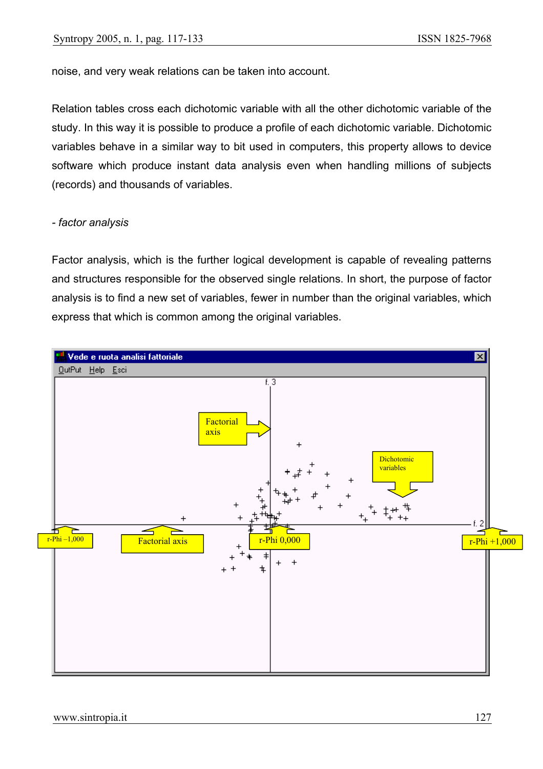noise, and very weak relations can be taken into account.

Relation tables cross each dichotomic variable with all the other dichotomic variable of the study. In this way it is possible to produce a profile of each dichotomic variable. Dichotomic variables behave in a similar way to bit used in computers, this property allows to device software which produce instant data analysis even when handling millions of subjects (records) and thousands of variables.

### *- factor analysis*

Factor analysis, which is the further logical development is capable of revealing patterns and structures responsible for the observed single relations. In short, the purpose of factor analysis is to find a new set of variables, fewer in number than the original variables, which express that which is common among the original variables.

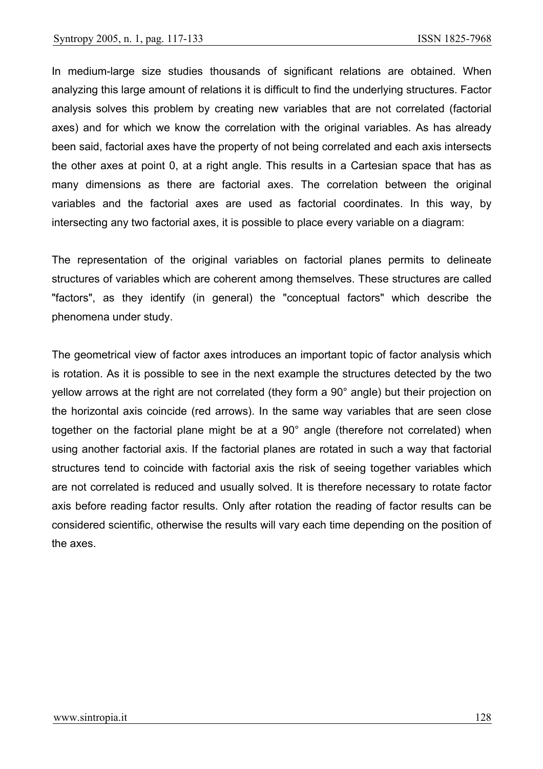In medium-large size studies thousands of significant relations are obtained. When analyzing this large amount of relations it is difficult to find the underlying structures. Factor analysis solves this problem by creating new variables that are not correlated (factorial axes) and for which we know the correlation with the original variables. As has already been said, factorial axes have the property of not being correlated and each axis intersects the other axes at point 0, at a right angle. This results in a Cartesian space that has as many dimensions as there are factorial axes. The correlation between the original variables and the factorial axes are used as factorial coordinates. In this way, by intersecting any two factorial axes, it is possible to place every variable on a diagram:

The representation of the original variables on factorial planes permits to delineate structures of variables which are coherent among themselves. These structures are called "factors", as they identify (in general) the "conceptual factors" which describe the phenomena under study.

The geometrical view of factor axes introduces an important topic of factor analysis which is rotation. As it is possible to see in the next example the structures detected by the two yellow arrows at the right are not correlated (they form a 90° angle) but their projection on the horizontal axis coincide (red arrows). In the same way variables that are seen close together on the factorial plane might be at a 90° angle (therefore not correlated) when using another factorial axis. If the factorial planes are rotated in such a way that factorial structures tend to coincide with factorial axis the risk of seeing together variables which are not correlated is reduced and usually solved. It is therefore necessary to rotate factor axis before reading factor results. Only after rotation the reading of factor results can be considered scientific, otherwise the results will vary each time depending on the position of the axes.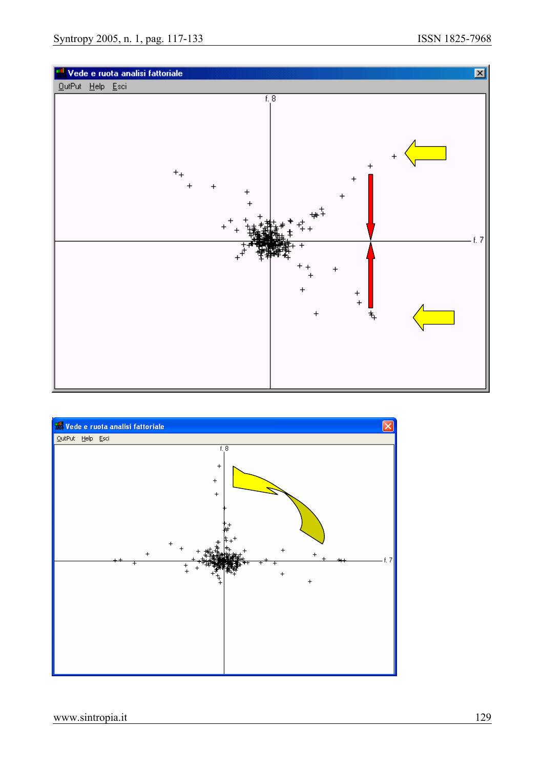

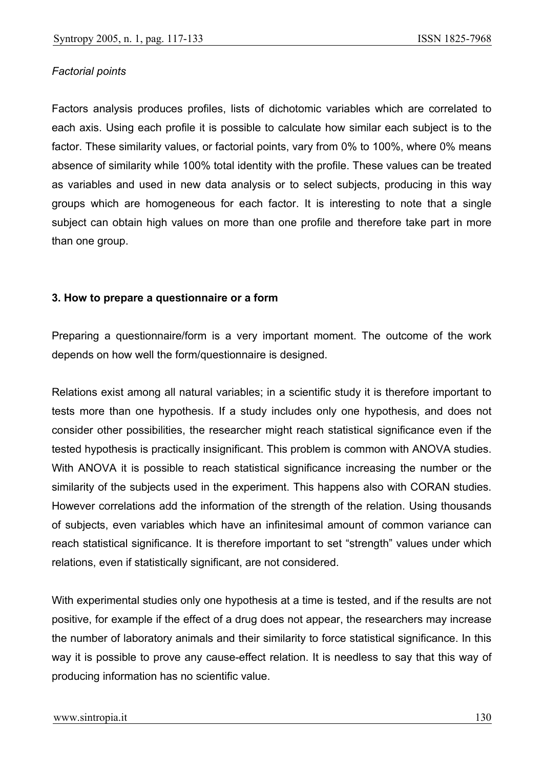## *Factorial points*

Factors analysis produces profiles, lists of dichotomic variables which are correlated to each axis. Using each profile it is possible to calculate how similar each subject is to the factor. These similarity values, or factorial points, vary from 0% to 100%, where 0% means absence of similarity while 100% total identity with the profile. These values can be treated as variables and used in new data analysis or to select subjects, producing in this way groups which are homogeneous for each factor. It is interesting to note that a single subject can obtain high values on more than one profile and therefore take part in more than one group.

## **3. How to prepare a questionnaire or a form**

Preparing a questionnaire/form is a very important moment. The outcome of the work depends on how well the form/questionnaire is designed.

Relations exist among all natural variables; in a scientific study it is therefore important to tests more than one hypothesis. If a study includes only one hypothesis, and does not consider other possibilities, the researcher might reach statistical significance even if the tested hypothesis is practically insignificant. This problem is common with ANOVA studies. With ANOVA it is possible to reach statistical significance increasing the number or the similarity of the subjects used in the experiment. This happens also with CORAN studies. However correlations add the information of the strength of the relation. Using thousands of subjects, even variables which have an infinitesimal amount of common variance can reach statistical significance. It is therefore important to set "strength" values under which relations, even if statistically significant, are not considered.

With experimental studies only one hypothesis at a time is tested, and if the results are not positive, for example if the effect of a drug does not appear, the researchers may increase the number of laboratory animals and their similarity to force statistical significance. In this way it is possible to prove any cause-effect relation. It is needless to say that this way of producing information has no scientific value.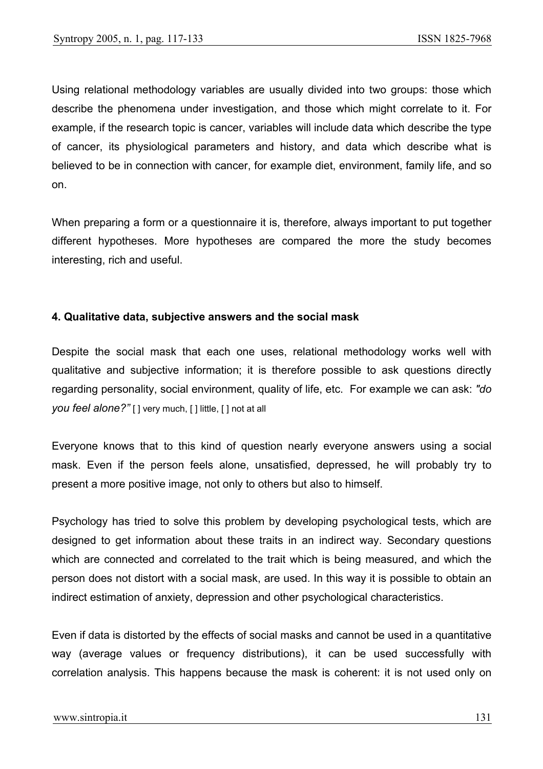Using relational methodology variables are usually divided into two groups: those which describe the phenomena under investigation, and those which might correlate to it. For example, if the research topic is cancer, variables will include data which describe the type of cancer, its physiological parameters and history, and data which describe what is believed to be in connection with cancer, for example diet, environment, family life, and so on.

When preparing a form or a questionnaire it is, therefore, always important to put together different hypotheses. More hypotheses are compared the more the study becomes interesting, rich and useful.

## **4. Qualitative data, subjective answers and the social mask**

Despite the social mask that each one uses, relational methodology works well with qualitative and subjective information; it is therefore possible to ask questions directly regarding personality, social environment, quality of life, etc. For example we can ask: *"do you feel alone?"* [ ] very much, [ ] little, [ ] not at all

Everyone knows that to this kind of question nearly everyone answers using a social mask. Even if the person feels alone, unsatisfied, depressed, he will probably try to present a more positive image, not only to others but also to himself.

Psychology has tried to solve this problem by developing psychological tests, which are designed to get information about these traits in an indirect way. Secondary questions which are connected and correlated to the trait which is being measured, and which the person does not distort with a social mask, are used. In this way it is possible to obtain an indirect estimation of anxiety, depression and other psychological characteristics.

Even if data is distorted by the effects of social masks and cannot be used in a quantitative way (average values or frequency distributions), it can be used successfully with correlation analysis. This happens because the mask is coherent: it is not used only on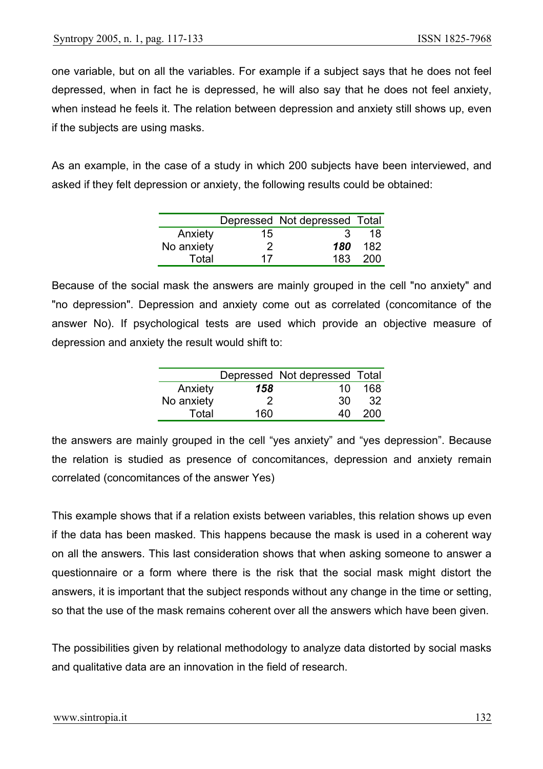one variable, but on all the variables. For example if a subject says that he does not feel depressed, when in fact he is depressed, he will also say that he does not feel anxiety, when instead he feels it. The relation between depression and anxiety still shows up, even if the subjects are using masks.

As an example, in the case of a study in which 200 subjects have been interviewed, and asked if they felt depression or anxiety, the following results could be obtained:

|            |               | Depressed Not depressed Total |      |
|------------|---------------|-------------------------------|------|
| Anxiety    | 15            |                               | 18   |
| No anxiety | $\mathcal{D}$ | 180                           | 182  |
| Total      | 17            | 183                           | -200 |

Because of the social mask the answers are mainly grouped in the cell "no anxiety" and "no depression". Depression and anxiety come out as correlated (concomitance of the answer No). If psychological tests are used which provide an objective measure of depression and anxiety the result would shift to:

|            |     | Depressed Not depressed Total |     |
|------------|-----|-------------------------------|-----|
| Anxiety    | 158 | 10                            | 168 |
| No anxiety | 2   | 30                            | 32  |
| Total      | 160 | ⊿∩                            | 200 |

the answers are mainly grouped in the cell "yes anxiety" and "yes depression". Because the relation is studied as presence of concomitances, depression and anxiety remain correlated (concomitances of the answer Yes)

This example shows that if a relation exists between variables, this relation shows up even if the data has been masked. This happens because the mask is used in a coherent way on all the answers. This last consideration shows that when asking someone to answer a questionnaire or a form where there is the risk that the social mask might distort the answers, it is important that the subject responds without any change in the time or setting, so that the use of the mask remains coherent over all the answers which have been given.

The possibilities given by relational methodology to analyze data distorted by social masks and qualitative data are an innovation in the field of research.